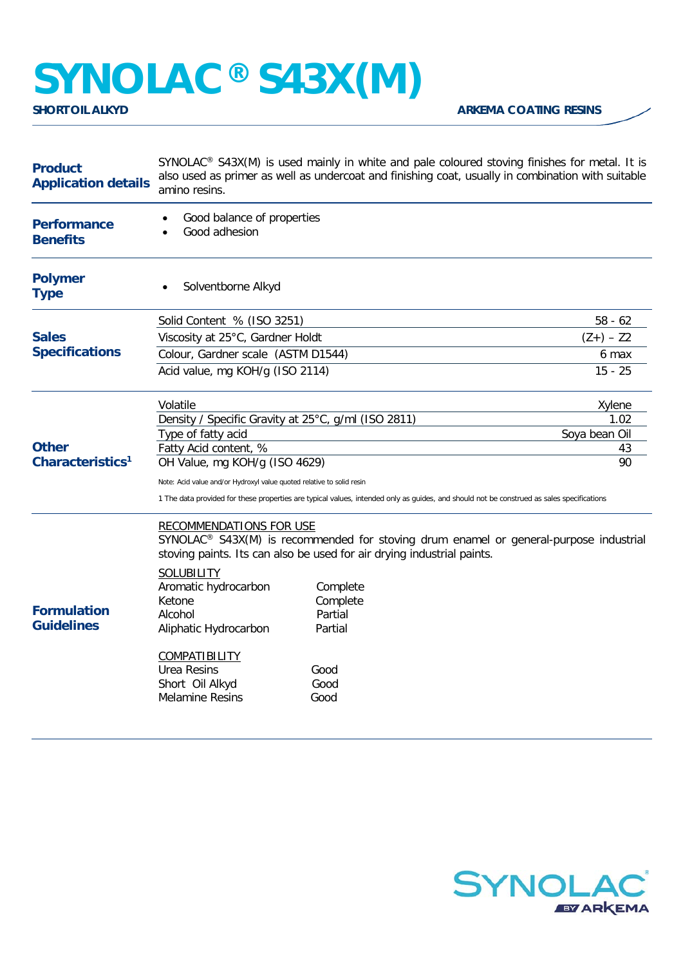## **SYNOLAC®** S43X(M)

**ARKEMA COATING RESINS** 

| <b>Product</b><br><b>Application details</b> | SYNOLAC <sup>®</sup> S43X(M) is used mainly in white and pale coloured stoving finishes for metal. It is<br>also used as primer as well as undercoat and finishing coat, usually in combination with suitable<br>amino resins.                                                                                                                                                                                                                                |                                                                                                                                           |               |
|----------------------------------------------|---------------------------------------------------------------------------------------------------------------------------------------------------------------------------------------------------------------------------------------------------------------------------------------------------------------------------------------------------------------------------------------------------------------------------------------------------------------|-------------------------------------------------------------------------------------------------------------------------------------------|---------------|
| <b>Performance</b><br><b>Benefits</b>        | Good balance of properties<br>Good adhesion<br>$\bullet$                                                                                                                                                                                                                                                                                                                                                                                                      |                                                                                                                                           |               |
| <b>Polymer</b><br><b>Type</b>                | Solventborne Alkyd                                                                                                                                                                                                                                                                                                                                                                                                                                            |                                                                                                                                           |               |
| <b>Sales</b><br><b>Specifications</b>        | Solid Content % (ISO 3251)                                                                                                                                                                                                                                                                                                                                                                                                                                    |                                                                                                                                           | $58 - 62$     |
|                                              | Viscosity at 25°C, Gardner Holdt                                                                                                                                                                                                                                                                                                                                                                                                                              |                                                                                                                                           | $(Z+) - Z2$   |
|                                              | Colour, Gardner scale (ASTM D1544)                                                                                                                                                                                                                                                                                                                                                                                                                            |                                                                                                                                           | 6 max         |
|                                              | Acid value, mg KOH/g (ISO 2114)                                                                                                                                                                                                                                                                                                                                                                                                                               |                                                                                                                                           | 15 - 25       |
| <b>Other</b><br>Characteristics <sup>1</sup> | Volatile                                                                                                                                                                                                                                                                                                                                                                                                                                                      |                                                                                                                                           | Xylene        |
|                                              | Density / Specific Gravity at 25°C, g/ml (ISO 2811)                                                                                                                                                                                                                                                                                                                                                                                                           |                                                                                                                                           | 1.02          |
|                                              | Type of fatty acid                                                                                                                                                                                                                                                                                                                                                                                                                                            |                                                                                                                                           | Soya bean Oil |
|                                              | Fatty Acid content, %                                                                                                                                                                                                                                                                                                                                                                                                                                         |                                                                                                                                           | 43<br>90      |
|                                              | OH Value, mg KOH/g (ISO 4629)                                                                                                                                                                                                                                                                                                                                                                                                                                 |                                                                                                                                           |               |
|                                              | Note: Acid value and/or Hydroxyl value quoted relative to solid resin                                                                                                                                                                                                                                                                                                                                                                                         |                                                                                                                                           |               |
|                                              |                                                                                                                                                                                                                                                                                                                                                                                                                                                               | 1 The data provided for these properties are typical values, intended only as guides, and should not be construed as sales specifications |               |
| <b>Formulation</b><br><b>Guidelines</b>      | <b>RECOMMENDATIONS FOR USE</b><br>SYNOLAC® S43X(M) is recommended for stoving drum enamel or general-purpose industrial<br>stoving paints. Its can also be used for air drying industrial paints.<br><b>SOLUBILITY</b><br>Aromatic hydrocarbon<br>Complete<br>Ketone<br>Complete<br>Partial<br>Alcohol<br>Partial<br>Aliphatic Hydrocarbon<br><b>COMPATIBILITY</b><br><b>Urea Resins</b><br>Good<br>Short Oil Alkyd<br>Good<br><b>Melamine Resins</b><br>Good |                                                                                                                                           |               |